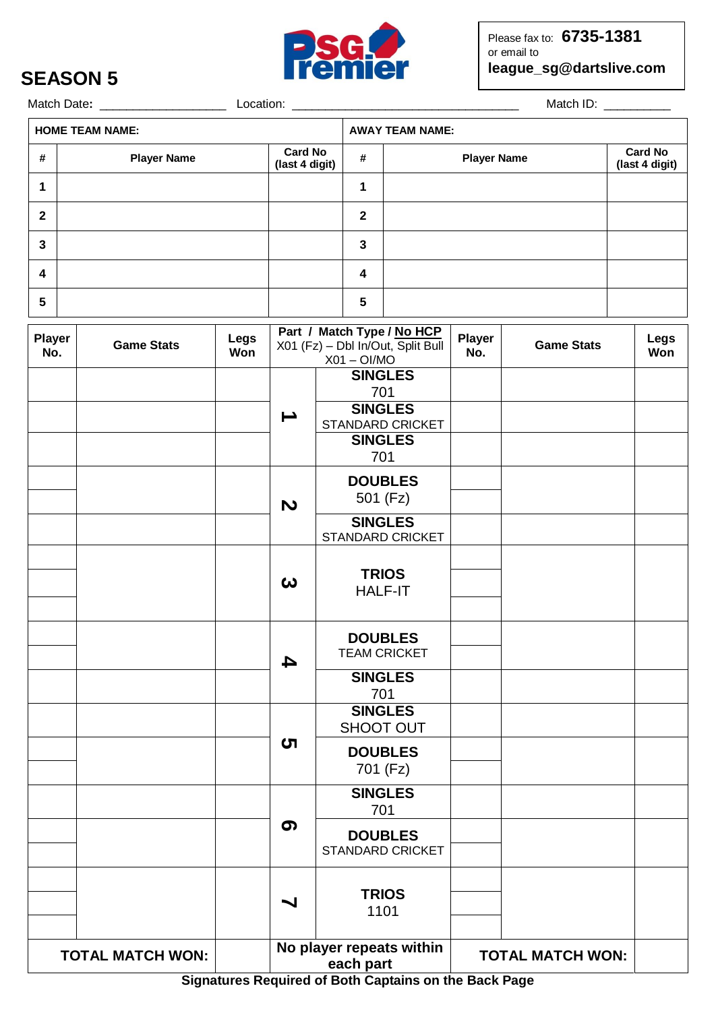

## **SEASON 5**

Match Date**:** \_\_\_\_\_\_\_\_\_\_\_\_\_\_\_\_\_\_\_Location: \_\_\_\_\_\_\_\_\_\_\_\_\_\_\_\_\_\_\_\_\_\_\_\_\_\_\_\_\_\_\_\_\_\_ Match ID: \_\_\_\_\_\_\_\_\_\_

| <b>HOME TEAM NAME:</b> |              |                    |                                  | <b>AWAY TEAM NAME:</b> |                    |                                  |  |
|------------------------|--------------|--------------------|----------------------------------|------------------------|--------------------|----------------------------------|--|
|                        | #            | <b>Player Name</b> | <b>Card No</b><br>(last 4 digit) | #                      | <b>Player Name</b> | <b>Card No</b><br>(last 4 digit) |  |
|                        |              |                    |                                  | ٠                      |                    |                                  |  |
|                        | $\mathbf{2}$ |                    |                                  | 2                      |                    |                                  |  |
|                        | 3            |                    |                                  | 3                      |                    |                                  |  |
|                        | 4            |                    |                                  | 4                      |                    |                                  |  |
|                        | 5            |                    |                                  | 5                      |                    |                                  |  |

| <b>Player</b><br>No.                                                                                                      | <b>Game Stats</b> | Legs<br>Won | Part / Match Type / No HCP<br>X01 (Fz) - Dbl In/Out, Split Bull<br>$X01 - OI/MO$ |                                           | <b>Player</b><br>No.    | <b>Game Stats</b> | Legs<br>Won |
|---------------------------------------------------------------------------------------------------------------------------|-------------------|-------------|----------------------------------------------------------------------------------|-------------------------------------------|-------------------------|-------------------|-------------|
|                                                                                                                           |                   |             |                                                                                  | <b>SINGLES</b><br>701                     |                         |                   |             |
|                                                                                                                           |                   |             | ┷                                                                                | <b>SINGLES</b><br>STANDARD CRICKET        |                         |                   |             |
|                                                                                                                           |                   |             |                                                                                  | <b>SINGLES</b><br>701                     |                         |                   |             |
|                                                                                                                           |                   |             | $\boldsymbol{\omega}$                                                            | <b>DOUBLES</b><br>501 (Fz)                |                         |                   |             |
|                                                                                                                           |                   |             |                                                                                  | <b>SINGLES</b><br>STANDARD CRICKET        |                         |                   |             |
|                                                                                                                           |                   |             | $\boldsymbol{\omega}$                                                            | <b>TRIOS</b><br><b>HALF-IT</b>            |                         |                   |             |
|                                                                                                                           |                   |             | 4                                                                                | <b>DOUBLES</b><br><b>TEAM CRICKET</b>     |                         |                   |             |
|                                                                                                                           |                   |             |                                                                                  | <b>SINGLES</b><br>701                     |                         |                   |             |
|                                                                                                                           |                   |             | <b>SINGLES</b><br>SHOOT OUT                                                      |                                           |                         |                   |             |
|                                                                                                                           |                   |             | <b>ဟ</b>                                                                         | <b>DOUBLES</b><br>701 (Fz)                |                         |                   |             |
|                                                                                                                           |                   |             |                                                                                  | <b>SINGLES</b><br>701                     |                         |                   |             |
|                                                                                                                           |                   |             | ග                                                                                | <b>DOUBLES</b><br><b>STANDARD CRICKET</b> |                         |                   |             |
|                                                                                                                           |                   |             | ↘                                                                                | <b>TRIOS</b><br>1101                      |                         |                   |             |
| No player repeats within<br><b>TOTAL MATCH WON:</b><br>each part<br>Signatures Pequired of Both Cantains on the Back Bage |                   |             |                                                                                  |                                           | <b>TOTAL MATCH WON:</b> |                   |             |

**Signatures Required of Both Captains on the Back Page**